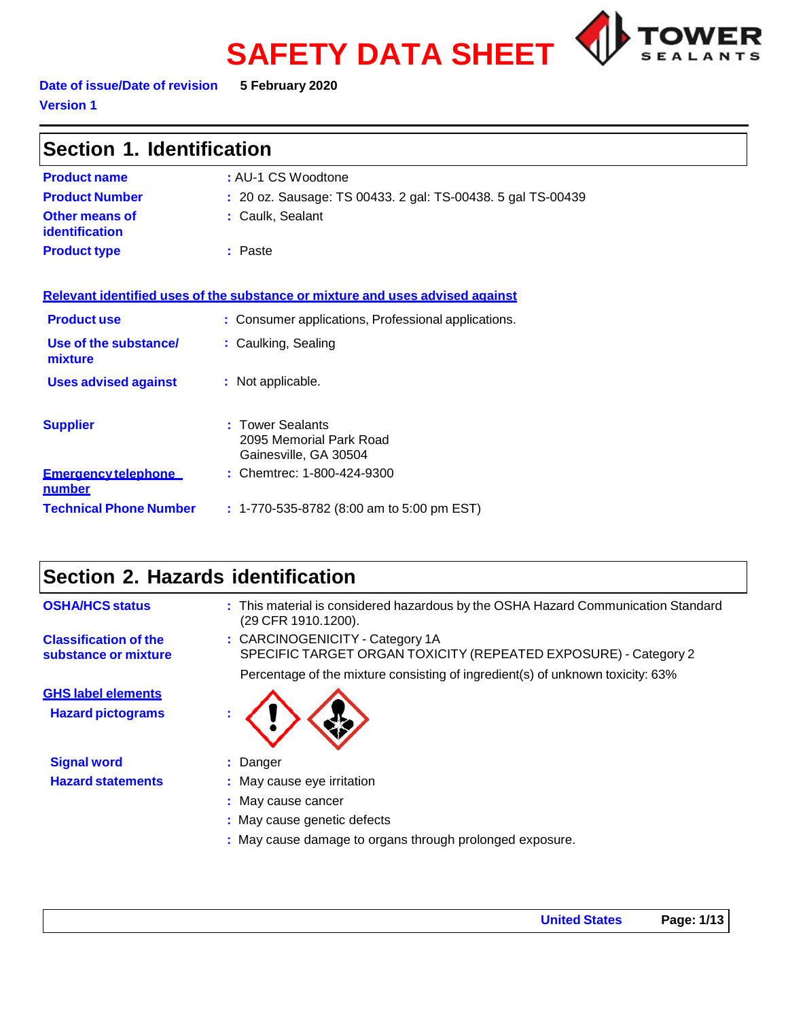# **SAFETY DATA SHEET**



**Date of issue/Date of revision 5 February 2020 Version 1**

| Section 1. Identification                      |                                                                               |  |
|------------------------------------------------|-------------------------------------------------------------------------------|--|
| <b>Product name</b>                            | : AU-1 CS Woodtone                                                            |  |
| <b>Product Number</b>                          | : 20 oz. Sausage: TS 00433. 2 gal: TS-00438. 5 gal TS-00439                   |  |
| <b>Other means of</b><br><b>identification</b> | : Caulk, Sealant                                                              |  |
| <b>Product type</b>                            | : Paste                                                                       |  |
|                                                | Relevant identified uses of the substance or mixture and uses advised against |  |
| <b>Product use</b>                             | : Consumer applications, Professional applications.                           |  |
| Use of the substance/<br>mixture               | : Caulking, Sealing                                                           |  |
| <b>Uses advised against</b>                    | : Not applicable.                                                             |  |
| <b>Supplier</b>                                | : Tower Sealants<br>2095 Memorial Park Road<br>Gainesville, GA 30504          |  |
| <b>Emergency telephone</b><br>number           | : Chemtrec: 1-800-424-9300                                                    |  |
| <b>Technical Phone Number</b>                  | $: 1-770-535-8782$ (8:00 am to 5:00 pm EST)                                   |  |

# **Section 2. Hazards identification**

| <b>OSHA/HCS status</b>                                | : This material is considered hazardous by the OSHA Hazard Communication Standard<br>(29 CFR 1910.1200).                                                                             |
|-------------------------------------------------------|--------------------------------------------------------------------------------------------------------------------------------------------------------------------------------------|
| <b>Classification of the</b><br>substance or mixture  | : CARCINOGENICITY - Category 1A<br>SPECIFIC TARGET ORGAN TOXICITY (REPEATED EXPOSURE) - Category 2<br>Percentage of the mixture consisting of ingredient(s) of unknown toxicity: 63% |
| <b>GHS label elements</b><br><b>Hazard pictograms</b> |                                                                                                                                                                                      |
| <b>Signal word</b>                                    | : Danger                                                                                                                                                                             |
| <b>Hazard statements</b>                              | : May cause eye irritation                                                                                                                                                           |
|                                                       | : May cause cancer                                                                                                                                                                   |
|                                                       | : May cause genetic defects                                                                                                                                                          |
|                                                       | : May cause damage to organs through prolonged exposure.                                                                                                                             |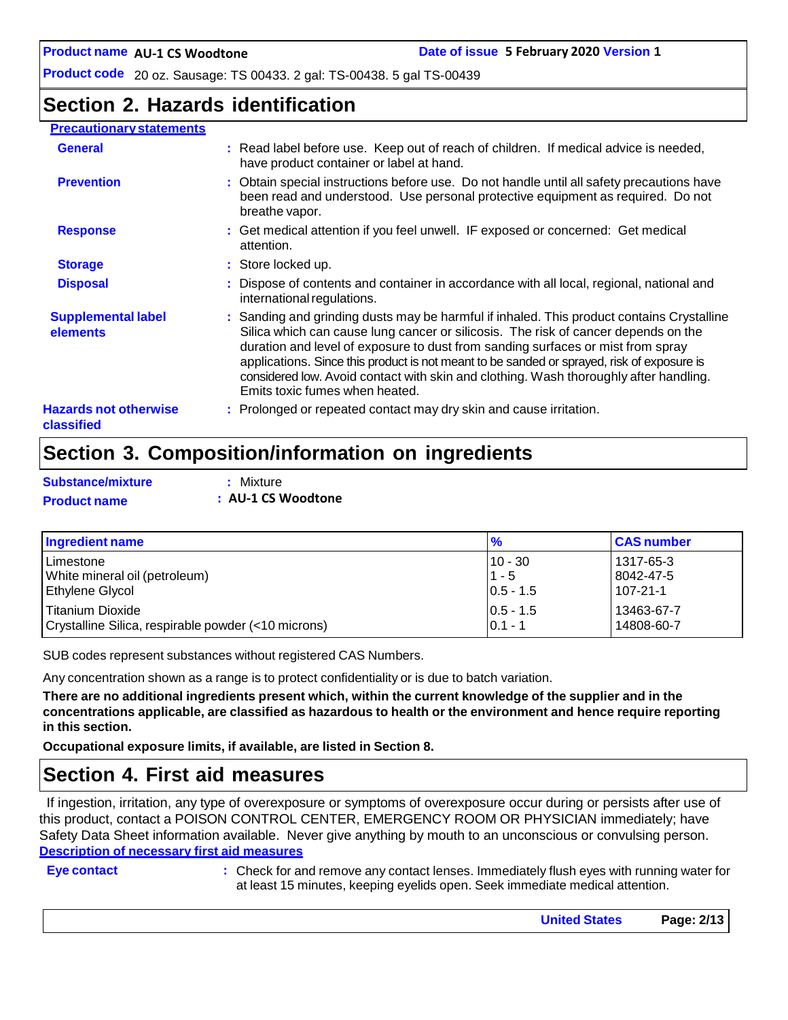### **Section 2. Hazards identification**

#### **Precautionary statements General :** Read label before use. Keep out of reach of children. If medical advice is needed, have product container or label at hand. **Prevention 1. Prevention 1. All instructions before use.** Do not handle until all safety precautions have been read and understood. Use personal protective equipment as required. Do not breathe vapor. **Response 1993 : Get medical attention if you feel unwell. IF exposed or concerned: Get medical** attention. **Storage 19.1 Store locked up. Disposal 19.1 : C** Dispose of contents and container in accordance with all local, regional, national and international regulations. **Supplemental label elements :** Sanding and grinding dusts may be harmful if inhaled. This product contains Crystalline Silica which can cause lung cancer or silicosis. The risk of cancer depends on the

#### **Hazards not otherwise** duration and level of exposure to dust from sanding surfaces or mist from spray applications. Since this product is not meant to be sanded or sprayed, risk of exposure is considered low. Avoid contact with skin and clothing. Wash thoroughly after handling. Emits toxic fumes when heated. **:** Prolonged or repeated contact may dry skin and cause irritation.

### **Section 3. Composition/information on ingredients**

| Substance/mixture   | : Mixture          |
|---------------------|--------------------|
| <b>Product name</b> | : AU-1 CS Woodtone |

| Ingredient name                                     | $\frac{9}{6}$ | <b>CAS number</b> |
|-----------------------------------------------------|---------------|-------------------|
| l Limestone                                         | $10 - 30$     | 1317-65-3         |
| White mineral oil (petroleum)                       | $11 - 5$      | 8042-47-5         |
| <b>Ethylene Glycol</b>                              | $0.5 - 1.5$   | 107-21-1          |
| Titanium Dioxide                                    | $ 0.5 - 1.5 $ | 13463-67-7        |
| Crystalline Silica, respirable powder (<10 microns) | $0.1 - 1$     | 14808-60-7        |

SUB codes represent substances without registered CAS Numbers.

Any concentration shown as a range is to protect confidentiality or is due to batch variation.

There are no additional ingredients present which, within the current knowledge of the supplier and in the **concentrations applicable, are classified as hazardous to health or the environment and hence require reporting in this section.**

**Occupational exposure limits, if available, are listed in Section 8.**

### **Section 4. First aid measures**

If ingestion, irritation, any type of overexposure or symptoms of overexposure occur during or persists after use of this product, contact a POISON CONTROL CENTER, EMERGENCY ROOM OR PHYSICIAN immediately; have Safety Data Sheet information available. Never give anything by mouth to an unconscious or convulsing person. **Description of necessary first aid measures**

**classified**

**Eye contact :** Check for and remove any contact lenses. Immediately flush eyes with running water for at least 15 minutes, keeping eyelids open. Seek immediate medical attention.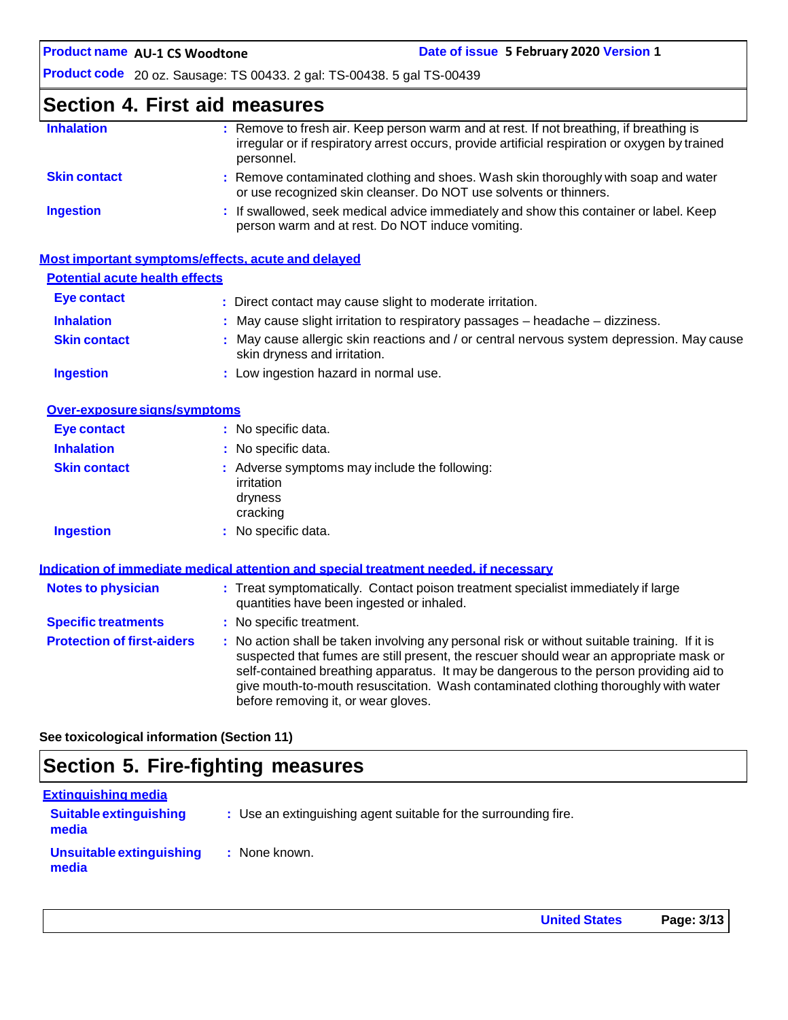## **Section 4. First aid measures**

| <b>Inhalation</b>   | : Remove to fresh air. Keep person warm and at rest. If not breathing, if breathing is<br>irregular or if respiratory arrest occurs, provide artificial respiration or oxygen by trained<br>personnel. |
|---------------------|--------------------------------------------------------------------------------------------------------------------------------------------------------------------------------------------------------|
| <b>Skin contact</b> | : Remove contaminated clothing and shoes. Wash skin thoroughly with soap and water<br>or use recognized skin cleanser. Do NOT use solvents or thinners.                                                |
| <b>Ingestion</b>    | : If swallowed, seek medical advice immediately and show this container or label. Keep<br>person warm and at rest. Do NOT induce vomiting.                                                             |

|                                       | Most important symptoms/effects, acute and delayed                                                                        |
|---------------------------------------|---------------------------------------------------------------------------------------------------------------------------|
| <b>Potential acute health effects</b> |                                                                                                                           |
| Eye contact                           | : Direct contact may cause slight to moderate irritation.                                                                 |
| <b>Inhalation</b>                     | $\therefore$ May cause slight irritation to respiratory passages $-$ headache $-$ dizziness.                              |
| <b>Skin contact</b>                   | : May cause allergic skin reactions and / or central nervous system depression. May cause<br>skin dryness and irritation. |
| <b>Ingestion</b>                      | : Low ingestion hazard in normal use.                                                                                     |

| Over-exposure signs/symptoms |                                                                                    |
|------------------------------|------------------------------------------------------------------------------------|
| Eye contact                  | : No specific data.                                                                |
| <b>Inhalation</b>            | : No specific data.                                                                |
| <b>Skin contact</b>          | : Adverse symptoms may include the following:<br>irritation<br>dryness<br>cracking |
| <b>Ingestion</b>             | : No specific data.                                                                |

|                                   | Indication of immediate medical attention and special treatment needed, if necessary                                                                                                                                                                                                                                                                                                                            |
|-----------------------------------|-----------------------------------------------------------------------------------------------------------------------------------------------------------------------------------------------------------------------------------------------------------------------------------------------------------------------------------------------------------------------------------------------------------------|
| <b>Notes to physician</b>         | : Treat symptomatically. Contact poison treatment specialist immediately if large<br>quantities have been ingested or inhaled.                                                                                                                                                                                                                                                                                  |
| <b>Specific treatments</b>        | : No specific treatment.                                                                                                                                                                                                                                                                                                                                                                                        |
| <b>Protection of first-aiders</b> | : No action shall be taken involving any personal risk or without suitable training. If it is<br>suspected that fumes are still present, the rescuer should wear an appropriate mask or<br>self-contained breathing apparatus. It may be dangerous to the person providing aid to<br>give mouth-to-mouth resuscitation. Wash contaminated clothing thoroughly with water<br>before removing it, or wear gloves. |

**See toxicological information (Section 11)**

# **Section 5. Fire-fighting measures**

| Extinguishing media                    |                                                                 |
|----------------------------------------|-----------------------------------------------------------------|
| <b>Suitable extinguishing</b><br>media | : Use an extinguishing agent suitable for the surrounding fire. |
| Unsuitable extinguishing<br>media      | : None known.                                                   |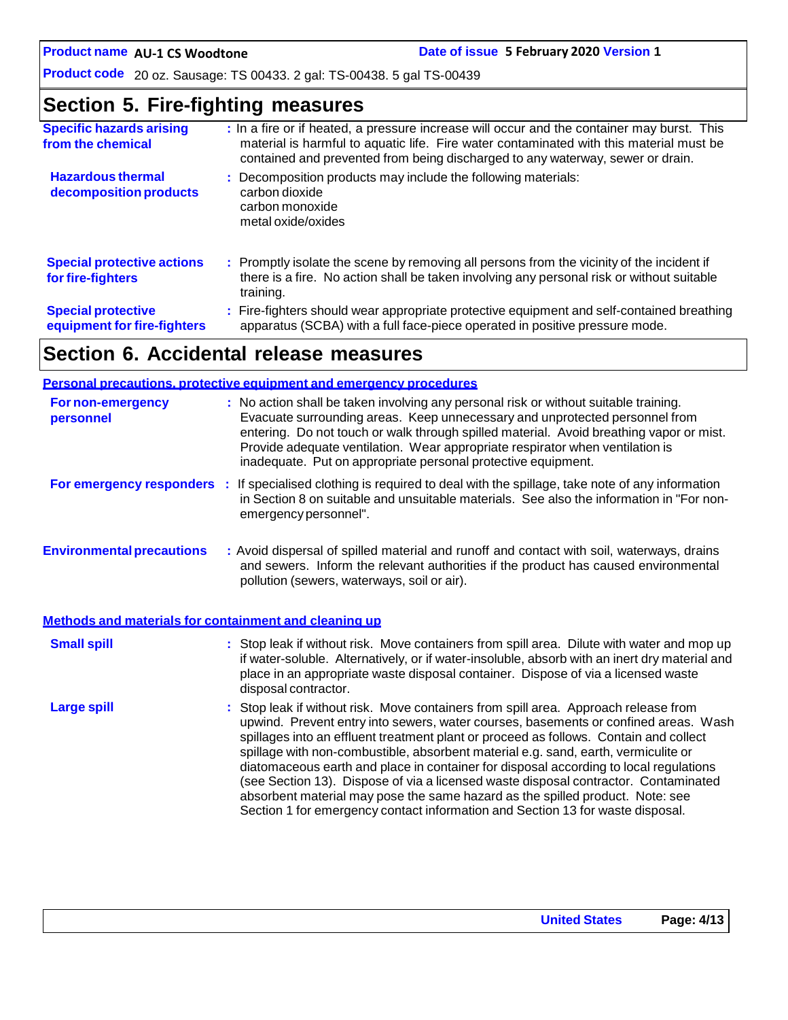**AU-1 CS Woodtone Date of issue 5 February 2020 Version 1**

**Product code** 20 oz. Sausage: TS 00433. 2 gal: TS-00438. 5 gal TS-00439

## **Section 5. Fire-fighting measures**

| <b>Specific hazards arising</b><br>from the chemical     | : In a fire or if heated, a pressure increase will occur and the container may burst. This<br>material is harmful to aquatic life. Fire water contaminated with this material must be<br>contained and prevented from being discharged to any waterway, sewer or drain. |
|----------------------------------------------------------|-------------------------------------------------------------------------------------------------------------------------------------------------------------------------------------------------------------------------------------------------------------------------|
| <b>Hazardous thermal</b><br>decomposition products       | : Decomposition products may include the following materials:<br>carbon dioxide<br>carbon monoxide<br>metal oxide/oxides                                                                                                                                                |
| <b>Special protective actions</b><br>for fire-fighters   | : Promptly isolate the scene by removing all persons from the vicinity of the incident if<br>there is a fire. No action shall be taken involving any personal risk or without suitable<br>training.                                                                     |
| <b>Special protective</b><br>equipment for fire-fighters | : Fire-fighters should wear appropriate protective equipment and self-contained breathing<br>apparatus (SCBA) with a full face-piece operated in positive pressure mode.                                                                                                |

# **Section 6. Accidental release measures**

|                                                       | <b>Personal precautions, protective equipment and emergency procedures</b>                                                                                                                                                                                                                                                                                                                                                                                                                                                                                                                                                                                                                                   |
|-------------------------------------------------------|--------------------------------------------------------------------------------------------------------------------------------------------------------------------------------------------------------------------------------------------------------------------------------------------------------------------------------------------------------------------------------------------------------------------------------------------------------------------------------------------------------------------------------------------------------------------------------------------------------------------------------------------------------------------------------------------------------------|
| <b>For non-emergency</b><br>personnel                 | : No action shall be taken involving any personal risk or without suitable training.<br>Evacuate surrounding areas. Keep unnecessary and unprotected personnel from<br>entering. Do not touch or walk through spilled material. Avoid breathing vapor or mist.<br>Provide adequate ventilation. Wear appropriate respirator when ventilation is<br>inadequate. Put on appropriate personal protective equipment.                                                                                                                                                                                                                                                                                             |
|                                                       | For emergency responders : If specialised clothing is required to deal with the spillage, take note of any information<br>in Section 8 on suitable and unsuitable materials. See also the information in "For non-<br>emergency personnel".                                                                                                                                                                                                                                                                                                                                                                                                                                                                  |
| <b>Environmental precautions</b>                      | : Avoid dispersal of spilled material and runoff and contact with soil, waterways, drains<br>and sewers. Inform the relevant authorities if the product has caused environmental<br>pollution (sewers, waterways, soil or air).                                                                                                                                                                                                                                                                                                                                                                                                                                                                              |
| Methods and materials for containment and cleaning up |                                                                                                                                                                                                                                                                                                                                                                                                                                                                                                                                                                                                                                                                                                              |
| <b>Small spill</b>                                    | : Stop leak if without risk. Move containers from spill area. Dilute with water and mop up<br>if water-soluble. Alternatively, or if water-insoluble, absorb with an inert dry material and<br>place in an appropriate waste disposal container. Dispose of via a licensed waste<br>disposal contractor.                                                                                                                                                                                                                                                                                                                                                                                                     |
| <b>Large spill</b>                                    | : Stop leak if without risk. Move containers from spill area. Approach release from<br>upwind. Prevent entry into sewers, water courses, basements or confined areas. Wash<br>spillages into an effluent treatment plant or proceed as follows. Contain and collect<br>spillage with non-combustible, absorbent material e.g. sand, earth, vermiculite or<br>diatomaceous earth and place in container for disposal according to local regulations<br>(see Section 13). Dispose of via a licensed waste disposal contractor. Contaminated<br>absorbent material may pose the same hazard as the spilled product. Note: see<br>Section 1 for emergency contact information and Section 13 for waste disposal. |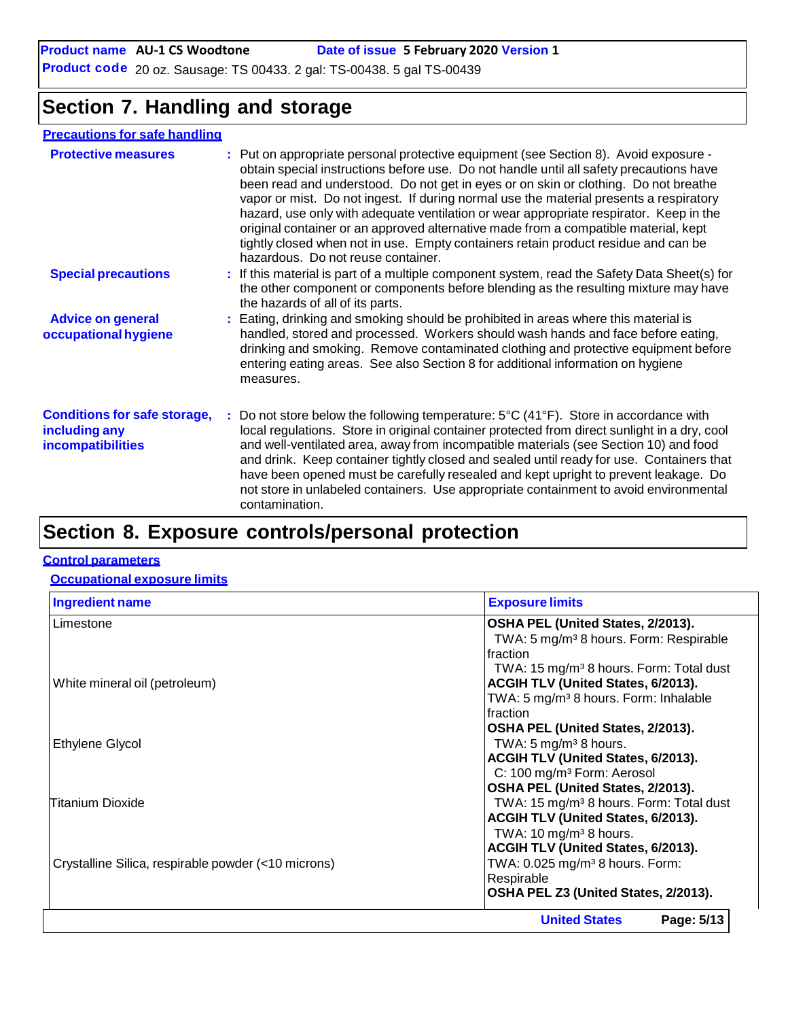#### **Product name** AU-1 CS Woodtone **Date of issue 5 February 2020 Version 1**

**Product code** 20 oz. Sausage: TS 00433. 2 gal: TS-00438. 5 gal TS-00439

# **Section 7. Handling and storage**

### **Precautions for safe handling**

| <b>Protective measures</b>                                                       | : Put on appropriate personal protective equipment (see Section 8). Avoid exposure -<br>obtain special instructions before use. Do not handle until all safety precautions have<br>been read and understood. Do not get in eyes or on skin or clothing. Do not breathe<br>vapor or mist. Do not ingest. If during normal use the material presents a respiratory<br>hazard, use only with adequate ventilation or wear appropriate respirator. Keep in the<br>original container or an approved alternative made from a compatible material, kept<br>tightly closed when not in use. Empty containers retain product residue and can be<br>hazardous. Do not reuse container. |  |
|----------------------------------------------------------------------------------|-------------------------------------------------------------------------------------------------------------------------------------------------------------------------------------------------------------------------------------------------------------------------------------------------------------------------------------------------------------------------------------------------------------------------------------------------------------------------------------------------------------------------------------------------------------------------------------------------------------------------------------------------------------------------------|--|
| <b>Special precautions</b>                                                       | : If this material is part of a multiple component system, read the Safety Data Sheet(s) for<br>the other component or components before blending as the resulting mixture may have<br>the hazards of all of its parts.                                                                                                                                                                                                                                                                                                                                                                                                                                                       |  |
| <b>Advice on general</b><br>occupational hygiene                                 | : Eating, drinking and smoking should be prohibited in areas where this material is<br>handled, stored and processed. Workers should wash hands and face before eating,<br>drinking and smoking. Remove contaminated clothing and protective equipment before<br>entering eating areas. See also Section 8 for additional information on hygiene<br>measures.                                                                                                                                                                                                                                                                                                                 |  |
| <b>Conditions for safe storage,</b><br>including any<br><b>incompatibilities</b> | : Do not store below the following temperature: $5^{\circ}C(41^{\circ}F)$ . Store in accordance with<br>local regulations. Store in original container protected from direct sunlight in a dry, cool<br>and well-ventilated area, away from incompatible materials (see Section 10) and food<br>and drink. Keep container tightly closed and sealed until ready for use. Containers that<br>have been opened must be carefully resealed and kept upright to prevent leakage. Do<br>not store in unlabeled containers. Use appropriate containment to avoid environmental<br>contamination.                                                                                    |  |
|                                                                                  |                                                                                                                                                                                                                                                                                                                                                                                                                                                                                                                                                                                                                                                                               |  |

# **Section 8. Exposure controls/personal protection**

#### **Control parameters**

#### **Occupational exposure limits**

| <b>Ingredient name</b>                              | <b>Exposure limits</b>                              |
|-----------------------------------------------------|-----------------------------------------------------|
| Limestone                                           | OSHA PEL (United States, 2/2013).                   |
|                                                     | TWA: 5 mg/m <sup>3</sup> 8 hours. Form: Respirable  |
|                                                     | fraction                                            |
|                                                     | TWA: 15 mg/m <sup>3</sup> 8 hours. Form: Total dust |
| White mineral oil (petroleum)                       | <b>ACGIH TLV (United States, 6/2013).</b>           |
|                                                     | TWA: 5 mg/m <sup>3</sup> 8 hours. Form: Inhalable   |
|                                                     | fraction                                            |
|                                                     | OSHA PEL (United States, 2/2013).                   |
| Ethylene Glycol                                     | TWA: $5 \text{ mg/m}^3$ 8 hours.                    |
|                                                     | <b>ACGIH TLV (United States, 6/2013).</b>           |
|                                                     | C: 100 mg/m <sup>3</sup> Form: Aerosol              |
|                                                     | OSHA PEL (United States, 2/2013).                   |
| <b>Titanium Dioxide</b>                             | TWA: 15 mg/m <sup>3</sup> 8 hours. Form: Total dust |
|                                                     | <b>ACGIH TLV (United States, 6/2013).</b>           |
|                                                     | TWA: $10 \text{ mg/m}^3$ 8 hours.                   |
|                                                     | <b>ACGIH TLV (United States, 6/2013).</b>           |
| Crystalline Silica, respirable powder (<10 microns) | TWA: 0.025 mg/m <sup>3</sup> 8 hours. Form:         |
|                                                     | Respirable                                          |
|                                                     | OSHA PEL Z3 (United States, 2/2013).                |
|                                                     | <b>United States</b><br>Page: 5/13                  |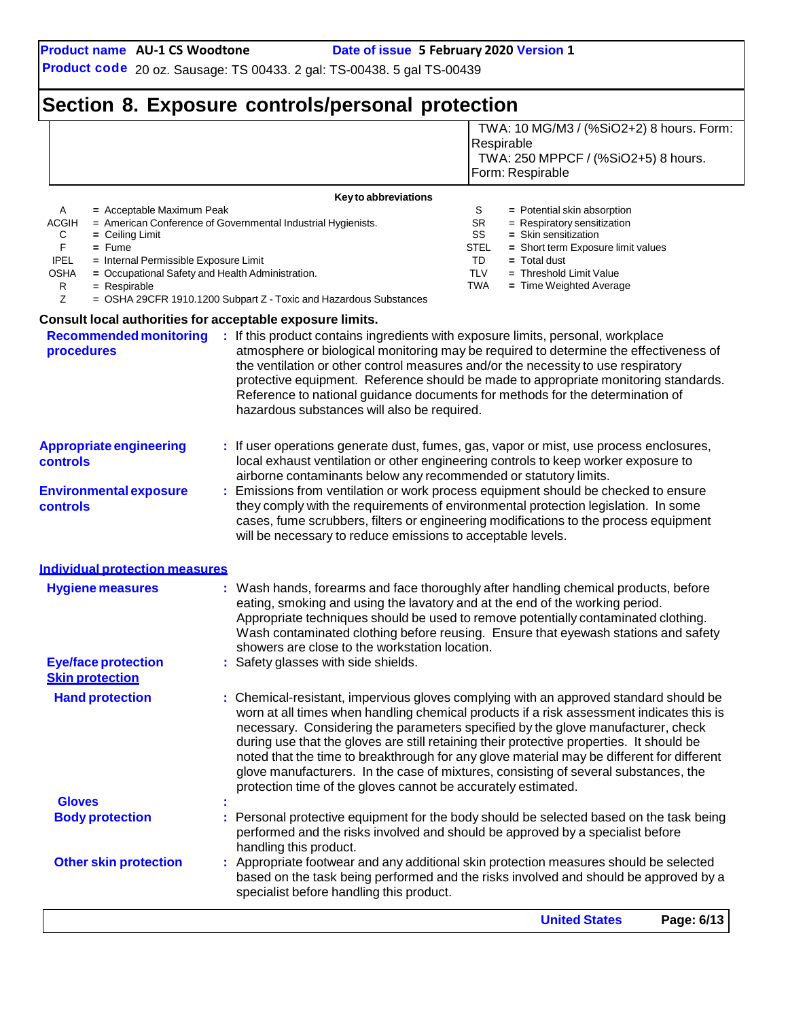TWA: 10 MG/M3 / (%SiO2+2) 8 hours. Form:

**Product code** 20 oz. Sausage: TS 00433. 2 gal: TS-00438. 5 gal TS-00439

# **Section 8. Exposure controls/personal protection**

|                                                                                             |                                                                                                                                                                                                                                                                                                       | <b>United States</b><br>Page: 6/13                                                                                                                                                                                                                                           |
|---------------------------------------------------------------------------------------------|-------------------------------------------------------------------------------------------------------------------------------------------------------------------------------------------------------------------------------------------------------------------------------------------------------|------------------------------------------------------------------------------------------------------------------------------------------------------------------------------------------------------------------------------------------------------------------------------|
| <b>Other skin protection</b>                                                                | specialist before handling this product.                                                                                                                                                                                                                                                              | : Appropriate footwear and any additional skin protection measures should be selected<br>based on the task being performed and the risks involved and should be approved by a                                                                                                |
| <b>Body protection</b>                                                                      | performed and the risks involved and should be approved by a specialist before<br>handling this product.                                                                                                                                                                                              | Personal protective equipment for the body should be selected based on the task being                                                                                                                                                                                        |
|                                                                                             |                                                                                                                                                                                                                                                                                                       |                                                                                                                                                                                                                                                                              |
| <b>Gloves</b>                                                                               | protection time of the gloves cannot be accurately estimated.                                                                                                                                                                                                                                         | during use that the gloves are still retaining their protective properties. It should be<br>noted that the time to breakthrough for any glove material may be different for different<br>glove manufacturers. In the case of mixtures, consisting of several substances, the |
| <b>Hand protection</b>                                                                      |                                                                                                                                                                                                                                                                                                       | : Chemical-resistant, impervious gloves complying with an approved standard should be<br>worn at all times when handling chemical products if a risk assessment indicates this is<br>necessary. Considering the parameters specified by the glove manufacturer, check        |
| <b>Eye/face protection</b><br><b>Skin protection</b>                                        | eating, smoking and using the lavatory and at the end of the working period.<br>showers are close to the workstation location.<br>: Safety glasses with side shields.                                                                                                                                 | Appropriate techniques should be used to remove potentially contaminated clothing.<br>Wash contaminated clothing before reusing. Ensure that eyewash stations and safety                                                                                                     |
| <b>Hygiene measures</b>                                                                     |                                                                                                                                                                                                                                                                                                       | Wash hands, forearms and face thoroughly after handling chemical products, before                                                                                                                                                                                            |
| <b>Individual protection measures</b>                                                       |                                                                                                                                                                                                                                                                                                       |                                                                                                                                                                                                                                                                              |
| <b>Environmental exposure</b><br>controls                                                   | will be necessary to reduce emissions to acceptable levels.                                                                                                                                                                                                                                           | : Emissions from ventilation or work process equipment should be checked to ensure<br>they comply with the requirements of environmental protection legislation. In some<br>cases, fume scrubbers, filters or engineering modifications to the process equipment             |
|                                                                                             | airborne contaminants below any recommended or statutory limits.                                                                                                                                                                                                                                      |                                                                                                                                                                                                                                                                              |
| <b>Appropriate engineering</b><br>controls                                                  |                                                                                                                                                                                                                                                                                                       | : If user operations generate dust, fumes, gas, vapor or mist, use process enclosures,<br>local exhaust ventilation or other engineering controls to keep worker exposure to                                                                                                 |
| <b>Recommended monitoring</b><br>procedures                                                 | : If this product contains ingredients with exposure limits, personal, workplace<br>the ventilation or other control measures and/or the necessity to use respiratory<br>Reference to national guidance documents for methods for the determination of<br>hazardous substances will also be required. | atmosphere or biological monitoring may be required to determine the effectiveness of<br>protective equipment. Reference should be made to appropriate monitoring standards.                                                                                                 |
| <b>Consult local authorities for acceptable exposure limits.</b>                            |                                                                                                                                                                                                                                                                                                       |                                                                                                                                                                                                                                                                              |
| <b>OSHA</b><br>= Occupational Safety and Health Administration.<br>R<br>$=$ Respirable<br>Z | = OSHA 29CFR 1910.1200 Subpart Z - Toxic and Hazardous Substances                                                                                                                                                                                                                                     | <b>TLV</b><br>$=$ Threshold Limit Value<br>TWA<br>= Time Weighted Average                                                                                                                                                                                                    |
| <b>IPEL</b><br>= Internal Permissible Exposure Limit                                        |                                                                                                                                                                                                                                                                                                       | TD<br>$=$ Total dust                                                                                                                                                                                                                                                         |
| С<br>$=$ Ceiling Limit<br>F.<br>$=$ Fume                                                    |                                                                                                                                                                                                                                                                                                       | SS<br>= Skin sensitization<br>STEL<br>= Short term Exposure limit values                                                                                                                                                                                                     |
| A<br>= Acceptable Maximum Peak<br>ACGIH                                                     | = American Conference of Governmental Industrial Hygienists.                                                                                                                                                                                                                                          | S<br>= Potential skin absorption<br>SR<br>= Respiratory sensitization                                                                                                                                                                                                        |
|                                                                                             | Key to abbreviations                                                                                                                                                                                                                                                                                  |                                                                                                                                                                                                                                                                              |
|                                                                                             |                                                                                                                                                                                                                                                                                                       | TWA: 250 MPPCF / (%SiO2+5) 8 hours.<br>Form: Respirable                                                                                                                                                                                                                      |
|                                                                                             |                                                                                                                                                                                                                                                                                                       | Respirable                                                                                                                                                                                                                                                                   |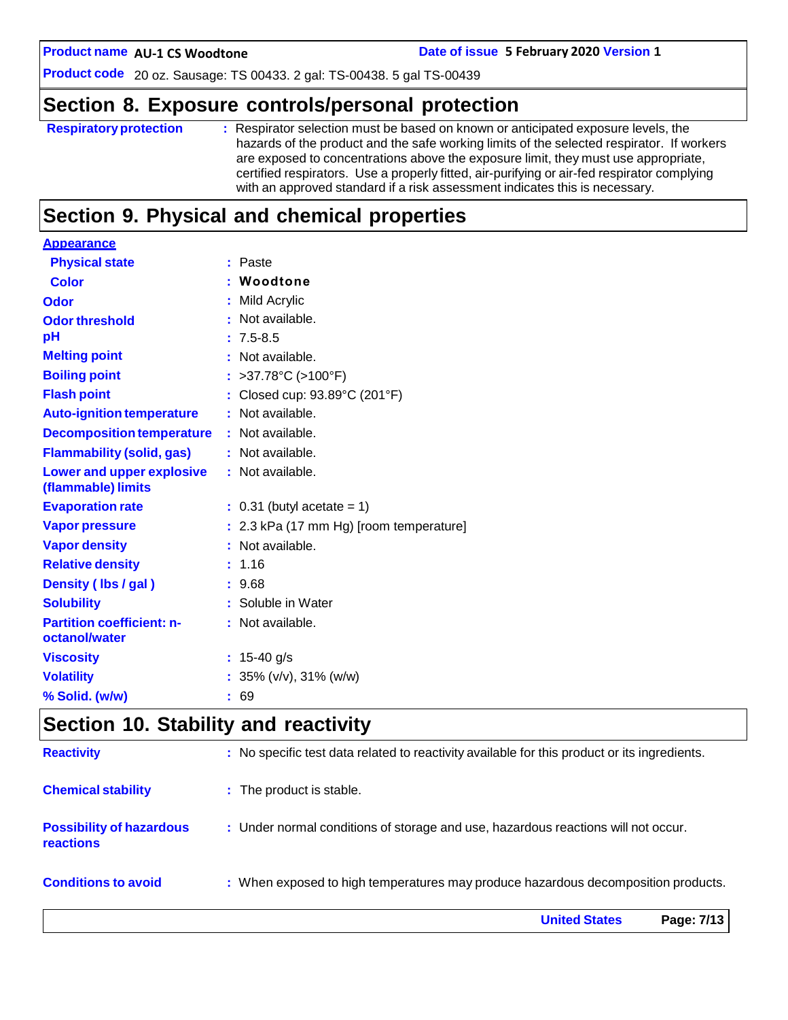**AU-1 CS Woodtone Date of issue 5 February 2020 Version 1**

**Product code** 20 oz. Sausage: TS 00433. 2 gal: TS-00438. 5 gal TS-00439

# **Section 8. Exposure controls/personal protection**

| <b>Respiratory protection</b> | : Respirator selection must be based on known or anticipated exposure levels, the<br>hazards of the product and the safe working limits of the selected respirator. If workers<br>are exposed to concentrations above the exposure limit, they must use appropriate,<br>certified respirators. Use a properly fitted, air-purifying or air-fed respirator complying<br>with an approved standard if a risk assessment indicates this is necessary. |
|-------------------------------|----------------------------------------------------------------------------------------------------------------------------------------------------------------------------------------------------------------------------------------------------------------------------------------------------------------------------------------------------------------------------------------------------------------------------------------------------|
|                               |                                                                                                                                                                                                                                                                                                                                                                                                                                                    |

# **Section 9. Physical and chemical properties**

| : Paste                                 |
|-----------------------------------------|
| Woodtone                                |
| Mild Acrylic                            |
| Not available.                          |
| $: 7.5 - 8.5$                           |
| Not available.                          |
| : >37.78°C (>100°F)                     |
| Closed cup: 93.89°C (201°F)             |
| : Not available.                        |
| : Not available.                        |
| : Not available.                        |
| : Not available.                        |
| $: 0.31$ (butyl acetate = 1)            |
| : 2.3 kPa (17 mm Hg) [room temperature] |
| : Not available.                        |
| : 1.16                                  |
| : 9.68                                  |
| : Soluble in Water                      |
| : Not available.                        |
|                                         |
| 15-40 g/s                               |
| : $35\%$ (v/v), $31\%$ (w/w)            |
| 69                                      |
|                                         |

# **Section 10. Stability and reactivity**

|                                                     | <b>United States</b><br>Page: 7/13                                                           |
|-----------------------------------------------------|----------------------------------------------------------------------------------------------|
| <b>Conditions to avoid</b>                          | : When exposed to high temperatures may produce hazardous decomposition products.            |
| <b>Possibility of hazardous</b><br><b>reactions</b> | : Under normal conditions of storage and use, hazardous reactions will not occur.            |
| <b>Chemical stability</b>                           | : The product is stable.                                                                     |
| <b>Reactivity</b>                                   | : No specific test data related to reactivity available for this product or its ingredients. |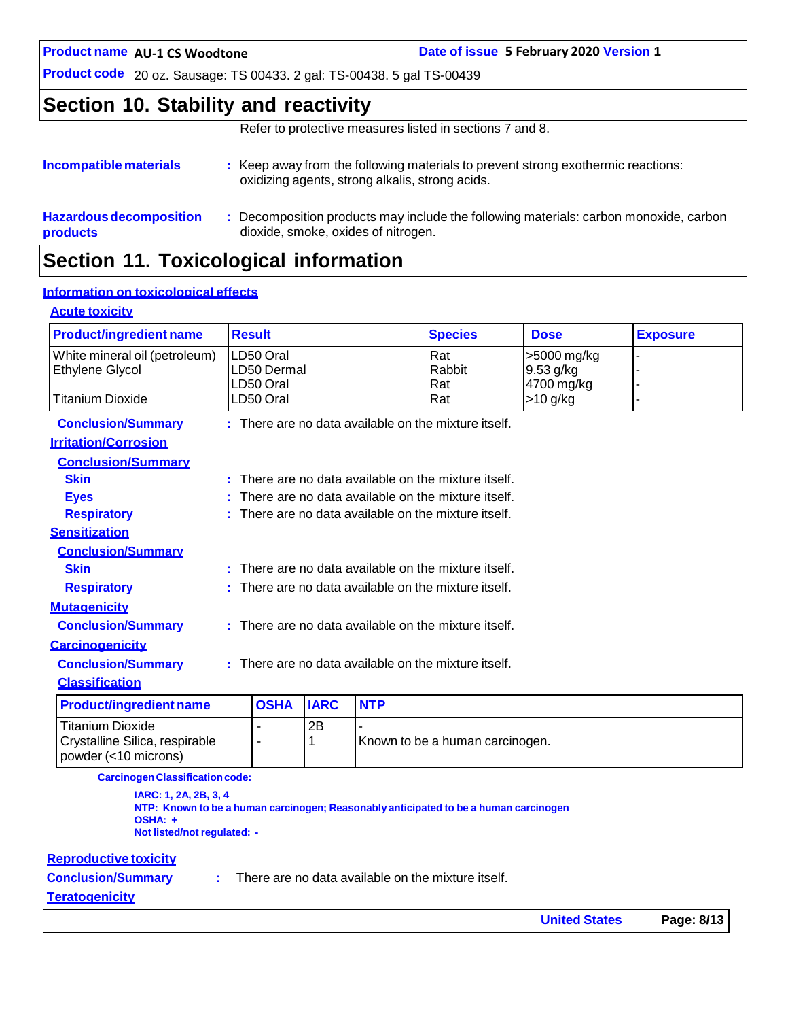**AU-1 CS Woodtone Date of issue 5 February 2020 Version 1**

**Product code** 20 oz. Sausage: TS 00433. 2 gal: TS-00438. 5 gal TS-00439

### **Section 10. Stability and reactivity**

Refer to protective measures listed in sections 7 and 8.

| Incompatible materials                     | : Keep away from the following materials to prevent strong exothermic reactions:<br>oxidizing agents, strong alkalis, strong acids. |
|--------------------------------------------|-------------------------------------------------------------------------------------------------------------------------------------|
| <b>Hazardous decomposition</b><br>products | Decomposition products may include the following materials: carbon monoxide, carbon<br>dioxide, smoke, oxides of nitrogen.          |
|                                            |                                                                                                                                     |

# **Section 11. Toxicological information**

### **Information on toxicological effects**

#### **Acute toxicity**

| <b>Product/ingredient name</b> | <b>Result</b>          |             |            | <b>Species</b>                                         | <b>Dose</b>              | <b>Exposure</b> |
|--------------------------------|------------------------|-------------|------------|--------------------------------------------------------|--------------------------|-----------------|
| White mineral oil (petroleum)  | LD50 Oral              |             |            | Rat                                                    | >5000 mg/kg              |                 |
| Ethylene Glycol                | LD50 Dermal            |             |            | Rabbit                                                 | 9.53 g/kg                |                 |
| <b>Titanium Dioxide</b>        | LD50 Oral<br>LD50 Oral |             |            | Rat<br>Rat                                             | 4700 mg/kg<br>$>10$ g/kg |                 |
|                                |                        |             |            |                                                        |                          |                 |
| <b>Conclusion/Summary</b>      |                        |             |            | $:$ There are no data available on the mixture itself. |                          |                 |
| <b>Irritation/Corrosion</b>    |                        |             |            |                                                        |                          |                 |
| <b>Conclusion/Summary</b>      |                        |             |            |                                                        |                          |                 |
| <b>Skin</b>                    |                        |             |            | $:$ There are no data available on the mixture itself. |                          |                 |
| <b>Eyes</b>                    |                        |             |            | There are no data available on the mixture itself.     |                          |                 |
| <b>Respiratory</b>             |                        |             |            | : There are no data available on the mixture itself.   |                          |                 |
| <b>Sensitization</b>           |                        |             |            |                                                        |                          |                 |
| <b>Conclusion/Summary</b>      |                        |             |            |                                                        |                          |                 |
| <b>Skin</b>                    |                        |             |            | : There are no data available on the mixture itself.   |                          |                 |
| <b>Respiratory</b>             |                        |             |            | : There are no data available on the mixture itself.   |                          |                 |
| <b>Mutagenicity</b>            |                        |             |            |                                                        |                          |                 |
| <b>Conclusion/Summary</b>      |                        |             |            | $:$ There are no data available on the mixture itself. |                          |                 |
| <b>Carcinogenicity</b>         |                        |             |            |                                                        |                          |                 |
| <b>Conclusion/Summary</b>      |                        |             |            | $:$ There are no data available on the mixture itself. |                          |                 |
| <b>Classification</b>          |                        |             |            |                                                        |                          |                 |
| <b>Product/ingredient name</b> | <b>OSHA</b>            | <b>IARC</b> | <b>NTP</b> |                                                        |                          |                 |
| <b>Titanium Dioxide</b>        |                        | 2B          |            |                                                        |                          |                 |
| Crystalline Silica, respirable | $\blacksquare$         | 1           |            | Known to be a human carcinogen.                        |                          |                 |

**CarcinogenClassificationcode:**

**IARC: 1, 2A, 2B, 3, 4 NTP: Known to be a human carcinogen; Reasonably anticipated to be a human carcinogen OSHA: + Not listed/not regulated: -**

#### **Reproductive toxicity**

powder (<10 microns)

**Conclusion/Summary :**

There are no data available on the mixture itself.

#### **Teratogenicity**

**United States Page: 8/13**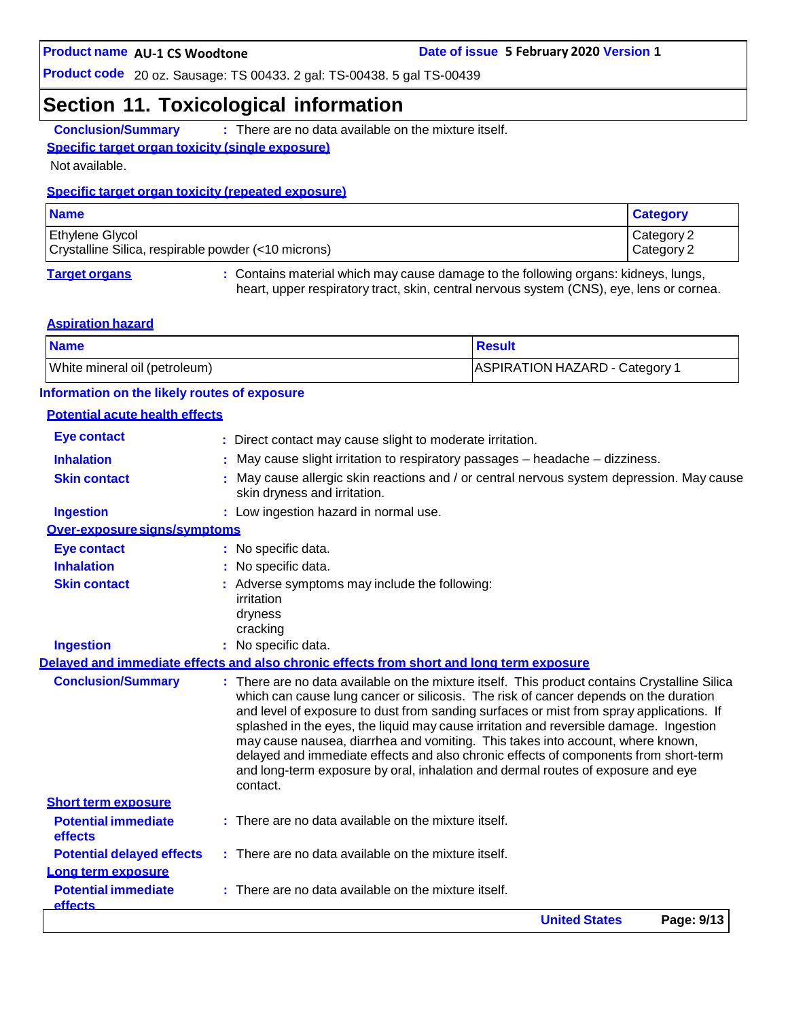### **Section 11. Toxicological information**

**Conclusion/Summary :** There are no data available on the mixture itself.

#### **Specific target organ toxicity (single exposure)**

Not available.

#### **Specific target organ toxicity (repeated exposure)**

| <b>Name</b>                                                                   | <b>Category</b>          |
|-------------------------------------------------------------------------------|--------------------------|
| <b>Ethylene Glycol</b><br>Crystalline Silica, respirable powder (<10 microns) | Category 2<br>Category 2 |
|                                                                               |                          |

**Target organs :** Contains material which may cause damage to the following organs: kidneys, lungs, heart, upper respiratory tract, skin, central nervous system (CNS), eye, lens or cornea.

#### **Aspiration hazard**

| <b>Name</b>                   | Result                         |
|-------------------------------|--------------------------------|
| White mineral oil (petroleum) | ASPIRATION HAZARD - Category 1 |

#### **Information on the likely routes of exposure**

#### **Potential acute health effects**

|                                              | <b>United States</b><br>Page: 9/13                                                                                                                                                                                                                                                                                                                                         |
|----------------------------------------------|----------------------------------------------------------------------------------------------------------------------------------------------------------------------------------------------------------------------------------------------------------------------------------------------------------------------------------------------------------------------------|
| <b>Potential immediate</b><br><b>effects</b> | There are no data available on the mixture itself.                                                                                                                                                                                                                                                                                                                         |
| Long term exposure                           |                                                                                                                                                                                                                                                                                                                                                                            |
| <b>Potential delayed effects</b>             | : There are no data available on the mixture itself.                                                                                                                                                                                                                                                                                                                       |
| effects                                      |                                                                                                                                                                                                                                                                                                                                                                            |
| <b>Potential immediate</b>                   | $:$ There are no data available on the mixture itself.                                                                                                                                                                                                                                                                                                                     |
| <b>Short term exposure</b>                   | may cause nausea, diarrhea and vomiting. This takes into account, where known,<br>delayed and immediate effects and also chronic effects of components from short-term<br>and long-term exposure by oral, inhalation and dermal routes of exposure and eye<br>contact.                                                                                                     |
| <b>Conclusion/Summary</b>                    | : There are no data available on the mixture itself. This product contains Crystalline Silica<br>which can cause lung cancer or silicosis. The risk of cancer depends on the duration<br>and level of exposure to dust from sanding surfaces or mist from spray applications. If<br>splashed in the eyes, the liquid may cause irritation and reversible damage. Ingestion |
|                                              | Delaved and immediate effects and also chronic effects from short and long term exposure                                                                                                                                                                                                                                                                                   |
| <b>Ingestion</b>                             | : No specific data.                                                                                                                                                                                                                                                                                                                                                        |
|                                              | dryness<br>cracking                                                                                                                                                                                                                                                                                                                                                        |
| <b>Skin contact</b>                          | : Adverse symptoms may include the following:<br>irritation                                                                                                                                                                                                                                                                                                                |
| <b>Inhalation</b>                            | No specific data.                                                                                                                                                                                                                                                                                                                                                          |
| <b>Eye contact</b>                           | : No specific data.                                                                                                                                                                                                                                                                                                                                                        |
| Over-exposure signs/symptoms                 |                                                                                                                                                                                                                                                                                                                                                                            |
| <b>Ingestion</b>                             | : Low ingestion hazard in normal use.                                                                                                                                                                                                                                                                                                                                      |
| <b>Skin contact</b>                          | May cause allergic skin reactions and / or central nervous system depression. May cause<br>skin dryness and irritation.                                                                                                                                                                                                                                                    |
| <b>Inhalation</b>                            | May cause slight irritation to respiratory passages - headache - dizziness.                                                                                                                                                                                                                                                                                                |
| <b>Eye contact</b>                           | : Direct contact may cause slight to moderate irritation.                                                                                                                                                                                                                                                                                                                  |
|                                              |                                                                                                                                                                                                                                                                                                                                                                            |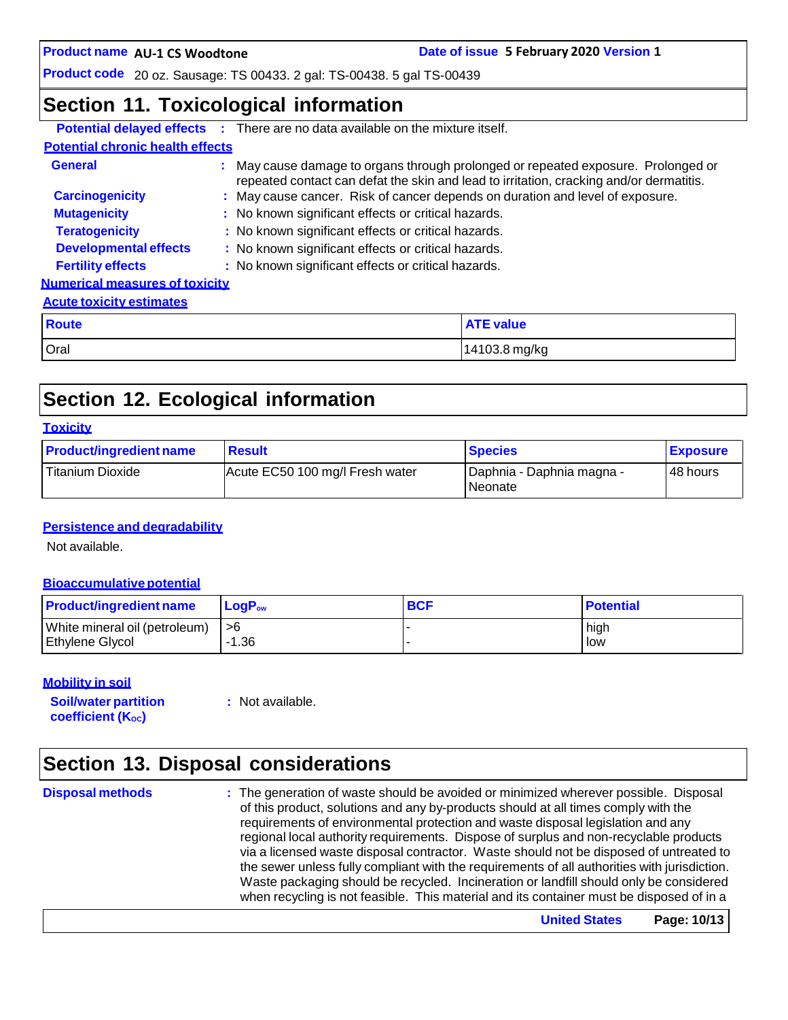**AU-1 CS Woodtone Date of issue 5 February 2020 Version 1**

**Product code** 20 oz. Sausage: TS 00433. 2 gal: TS-00438. 5 gal TS-00439

### **Section 11. Toxicological information**

|                                         |  | <b>Potential delayed effects :</b> There are no data available on the mixture itself. |                                                                                                                                                                              |  |  |
|-----------------------------------------|--|---------------------------------------------------------------------------------------|------------------------------------------------------------------------------------------------------------------------------------------------------------------------------|--|--|
| <b>Potential chronic health effects</b> |  |                                                                                       |                                                                                                                                                                              |  |  |
| <b>General</b>                          |  |                                                                                       | : May cause damage to organs through prolonged or repeated exposure. Prolonged or<br>repeated contact can defat the skin and lead to irritation, cracking and/or dermatitis. |  |  |
| <b>Carcinogenicity</b>                  |  |                                                                                       | : May cause cancer. Risk of cancer depends on duration and level of exposure.                                                                                                |  |  |
| <b>Mutagenicity</b>                     |  |                                                                                       | : No known significant effects or critical hazards.                                                                                                                          |  |  |
| <b>Teratogenicity</b>                   |  | : No known significant effects or critical hazards.                                   |                                                                                                                                                                              |  |  |
| <b>Developmental effects</b>            |  | : No known significant effects or critical hazards.                                   |                                                                                                                                                                              |  |  |
| <b>Fertility effects</b>                |  | : No known significant effects or critical hazards.                                   |                                                                                                                                                                              |  |  |
| <b>Numerical measures of toxicity</b>   |  |                                                                                       |                                                                                                                                                                              |  |  |
| <b>Acute toxicity estimates</b>         |  |                                                                                       |                                                                                                                                                                              |  |  |
| Route                                   |  |                                                                                       | <b>ATE value</b>                                                                                                                                                             |  |  |
| Oral                                    |  |                                                                                       | 14103.8 mg/kg                                                                                                                                                                |  |  |

# **Section 12. Ecological information**

#### **Toxicity**

| <b>Product/ingredient name</b> | <b>Result</b>                   | <b>Species</b>                         | <b>Exposure</b> |
|--------------------------------|---------------------------------|----------------------------------------|-----------------|
| <b>Titanium Dioxide</b>        | Acute EC50 100 mg/l Fresh water | I Daphnia - Daphnia magna -<br>Neonate | 48 hours        |

#### **Persistence and degradability**

Not available.

#### **Bioaccumulative potential**

| <b>Product/ingredient name</b> | $LoaPow$ | <b>BCF</b> | <b>Potential</b> |
|--------------------------------|----------|------------|------------------|
| White mineral oil (petroleum)  | l >6     |            | high             |
| Ethylene Glycol                | -1.36    |            | low              |

#### **Mobility in soil**

**Soil/water partition coefficient** (K<sub>oc</sub>)

**:** Not available.

# **Section 13. Disposal considerations**

**Disposal methods :** The generation of waste should be avoided or minimized wherever possible. Disposal of this product, solutions and any by-products should at all times comply with the requirements of environmental protection and waste disposal legislation and any regional local authority requirements. Dispose of surplus and non-recyclable products via a licensed waste disposal contractor. Waste should not be disposed of untreated to the sewer unless fully compliant with the requirements of all authorities with jurisdiction. Waste packaging should be recycled. Incineration or landfill should only be considered when recycling is not feasible. This material and its container must be disposed of in a

**United States Page: 10/13**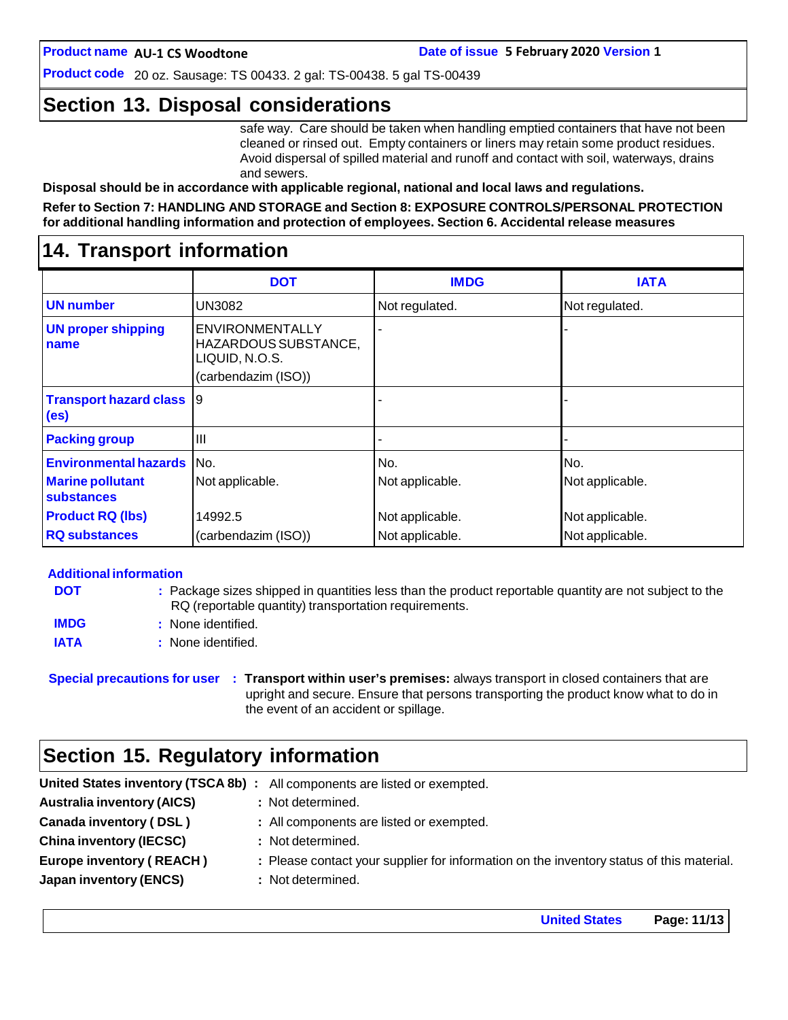**Product code** 20 oz. Sausage: TS 00433. 2 gal: TS-00438. 5 gal TS-00439

### **Section 13. Disposal considerations**

safe way. Care should be taken when handling emptied containers that have not been cleaned or rinsed out. Empty containers or liners may retain some product residues. Avoid dispersal of spilled material and runoff and contact with soil, waterways, drains and sewers.

**Disposal should be in accordance with applicable regional, national and local laws and regulations.**

**Refer to Section 7: HANDLING AND STORAGE and Section 8: EXPOSURE CONTROLS/PERSONAL PROTECTION for additional handling information and protection of employees. Section 6. Accidental release measures**

### **14. Transport information**

|                                                      | <b>DOT</b>                                                                       | <b>IMDG</b>     | <b>IATA</b>     |
|------------------------------------------------------|----------------------------------------------------------------------------------|-----------------|-----------------|
| <b>UN number</b>                                     | UN3082                                                                           | Not regulated.  | Not regulated.  |
| <b>UN proper shipping</b><br>name                    | ENVIRONMENTALLY<br>HAZARDOUS SUBSTANCE,<br>LIQUID, N.O.S.<br>(carbendazim (ISO)) |                 |                 |
| <b>Transport hazard class</b> 9<br>(e <sub>s</sub> ) |                                                                                  |                 |                 |
| <b>Packing group</b>                                 | Ш                                                                                |                 |                 |
| <b>Environmental hazards</b> No.                     |                                                                                  | No.             | No.             |
| <b>Marine pollutant</b><br>substances                | Not applicable.                                                                  | Not applicable. | Not applicable. |
| <b>Product RQ (lbs)</b>                              | 14992.5                                                                          | Not applicable. | Not applicable. |
| <b>RQ substances</b>                                 | (carbendazim (ISO))                                                              | Not applicable. | Not applicable. |

#### **Additional information**

| <b>DOT</b>  | : Package sizes shipped in quantities less than the product reportable quantity are not subject to the |
|-------------|--------------------------------------------------------------------------------------------------------|
|             | RQ (reportable quantity) transportation requirements.                                                  |
| <b>IMDG</b> | : None identified.                                                                                     |
| <b>IATA</b> | : None identified.                                                                                     |

**Special precautions for user : Transport within user's premises:** always transport in closed containers that are upright and secure. Ensure that persons transporting the product know what to do in the event of an accident or spillage.

### **Section 15. Regulatory information**

|                                   | United States inventory (TSCA 8b) : All components are listed or exempted.               |
|-----------------------------------|------------------------------------------------------------------------------------------|
| <b>Australia inventory (AICS)</b> | : Not determined.                                                                        |
| Canada inventory (DSL)            | : All components are listed or exempted.                                                 |
| <b>China inventory (IECSC)</b>    | : Not determined.                                                                        |
| <b>Europe inventory (REACH)</b>   | : Please contact your supplier for information on the inventory status of this material. |
| <b>Japan inventory (ENCS)</b>     | : Not determined.                                                                        |
|                                   |                                                                                          |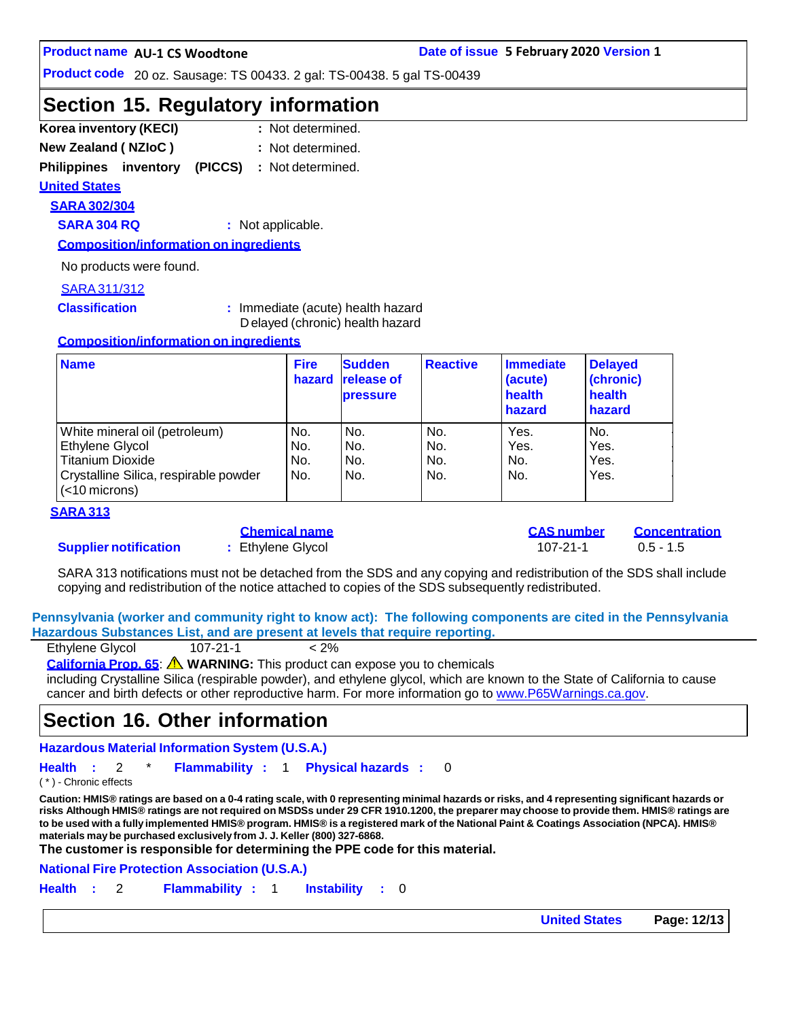**Product code** 20 oz. Sausage: TS 00433. 2 gal: TS-00438. 5 gal TS-00439

### **Section 15. Regulatory information**

| Korea inventory (KECI)     | : Not determined. |
|----------------------------|-------------------|
| <b>New Zealand (NZIoC)</b> | : Not determined. |

**Philippines inventory (PICCS) :** Not determined.

**United States**

### **SARA 302/304**

**SARA 304 RQ :** Not applicable.

**Composition/information on ingredients**

No products were found.

#### SARA311/312

**Classification :** Immediate (acute) health hazard D elayed (chronic) health hazard

#### **Composition/information on ingredients**

| <b>Name</b>                                               | <b>Fire</b><br>hazard | <b>Sudden</b><br><b>release of</b><br><b>pressure</b> | <b>Reactive</b> | Immediate<br>(acute)<br>health<br>hazard | <b>Delayed</b><br>(chronic)<br>health<br>hazard |
|-----------------------------------------------------------|-----------------------|-------------------------------------------------------|-----------------|------------------------------------------|-------------------------------------------------|
| White mineral oil (petroleum)                             | No.                   | No.                                                   | No.             | Yes.                                     | No.                                             |
| Ethylene Glycol                                           | No.                   | No.                                                   | No.             | Yes.                                     | Yes.                                            |
| <b>Titanium Dioxide</b>                                   | No.                   | No.                                                   | No.             | No.                                      | Yes.                                            |
| Crystalline Silica, respirable powder<br>$(<$ 10 microns) | No.                   | No.                                                   | No.             | No.                                      | Yes.                                            |

#### **SARA 313**

#### **Supplier notification :** Ethylene Glycol 107-21-1 0.5 - 1.5

|  | Giltilital Ildillt |  |  |
|--|--------------------|--|--|
|  | Fthvlene Glvcol    |  |  |

**Chemical name CAS number Concentration**

SARA 313 notifications must not be detached from the SDS and any copying and redistribution of the SDS shall include copying and redistribution of the notice attached to copies of the SDS subsequently redistributed.

**Pennsylvania (worker and community right to know act): The following components are cited in the Pennsylvania Hazardous Substances List, and are present at levels that require reporting.**

| Ethylene Glycol | $107 - 21 - 1$ | $< 2\%$ |
|-----------------|----------------|---------|
|                 |                |         |

**California Prop. 65**: **WARNING:** This product can expose you to chemicals

including Crystalline Silica (respirable powder), and ethylene glycol, which are known to the State of California to cause cancer and birth defects or other reproductive harm. For more information go to [www.P65Warnings.ca.gov.](http://www.p65warnings.ca.gov/)

### **Section 16. Other information**

**Hazardous Material Information System (U.S.A.)**

**Health :** 2 \* **Flammability :** 1 **Physical hazards :** 0

( \* ) - Chronic effects

Caution: HMIS® ratings are based on a 0-4 rating scale, with 0 representing minimal hazards or risks, and 4 representing significant hazards or risks Although HMIS® ratings are not required on MSDSs under 29 CFR 1910.1200, the preparer may choose to provide them. HMIS® ratings are to be used with a fully implemented HMIS® program. HMIS® is a registered mark of the National Paint & Coatings Association (NPCA). HMIS® **materials maybe purchased exclusively from J. J. Keller (800) 327-6868.**

**The customer is responsible for determining the PPE code for this material.**

**National Fire Protection Association (U.S.A.)**

**Health :** 2 **Flammability :** 1 **Instability :** 0

**United States Page: 12/13**